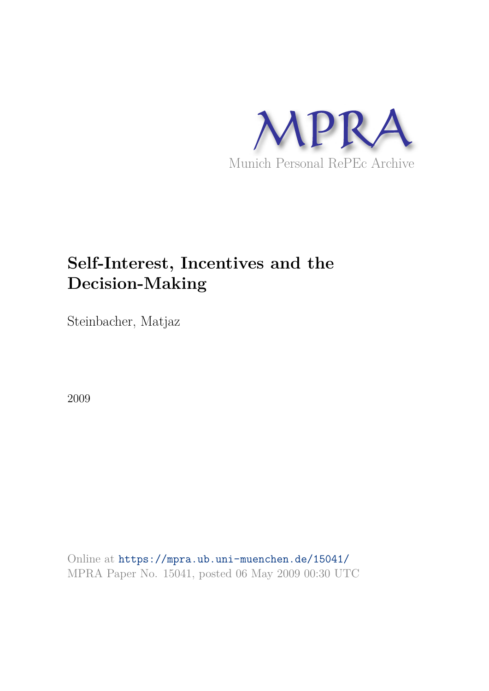

# **Self-Interest, Incentives and the Decision-Making**

Steinbacher, Matjaz

2009

Online at https://mpra.ub.uni-muenchen.de/15041/ MPRA Paper No. 15041, posted 06 May 2009 00:30 UTC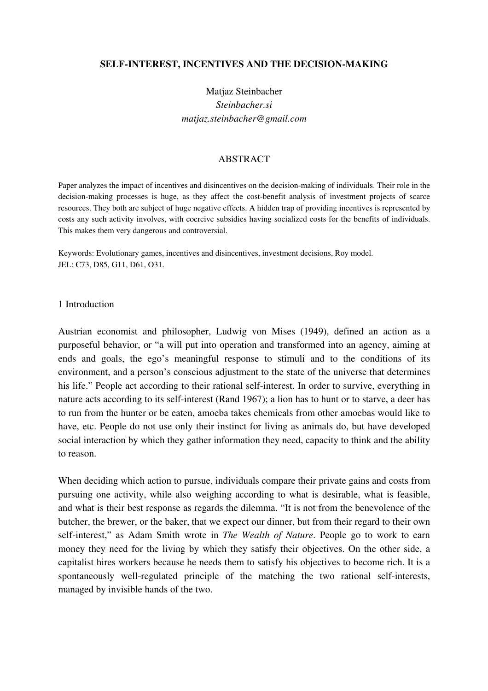#### **SELF-INTEREST, INCENTIVES AND THE DECISION-MAKING**

# Matjaz Steinbacher *Steinbacher.si matjaz.steinbacher@gmail.com*

#### ABSTRACT

Paper analyzes the impact of incentives and disincentives on the decision-making of individuals. Their role in the decision-making processes is huge, as they affect the cost-benefit analysis of investment projects of scarce resources. They both are subject of huge negative effects. A hidden trap of providing incentives is represented by costs any such activity involves, with coercive subsidies having socialized costs for the benefits of individuals. This makes them very dangerous and controversial.

Keywords: Evolutionary games, incentives and disincentives, investment decisions, Roy model. JEL: C73, D85, G11, D61, O31.

#### 1 Introduction

Austrian economist and philosopher, Ludwig von Mises (1949), defined an action as a purposeful behavior, or "a will put into operation and transformed into an agency, aiming at ends and goals, the ego's meaningful response to stimuli and to the conditions of its environment, and a person's conscious adjustment to the state of the universe that determines his life." People act according to their rational self-interest. In order to survive, everything in nature acts according to its self-interest (Rand 1967); a lion has to hunt or to starve, a deer has to run from the hunter or be eaten, amoeba takes chemicals from other amoebas would like to have, etc. People do not use only their instinct for living as animals do, but have developed social interaction by which they gather information they need, capacity to think and the ability to reason.

When deciding which action to pursue, individuals compare their private gains and costs from pursuing one activity, while also weighing according to what is desirable, what is feasible, and what is their best response as regards the dilemma. "It is not from the benevolence of the butcher, the brewer, or the baker, that we expect our dinner, but from their regard to their own self-interest," as Adam Smith wrote in *The Wealth of Nature*. People go to work to earn money they need for the living by which they satisfy their objectives. On the other side, a capitalist hires workers because he needs them to satisfy his objectives to become rich. It is a spontaneously well-regulated principle of the matching the two rational self-interests, managed by invisible hands of the two.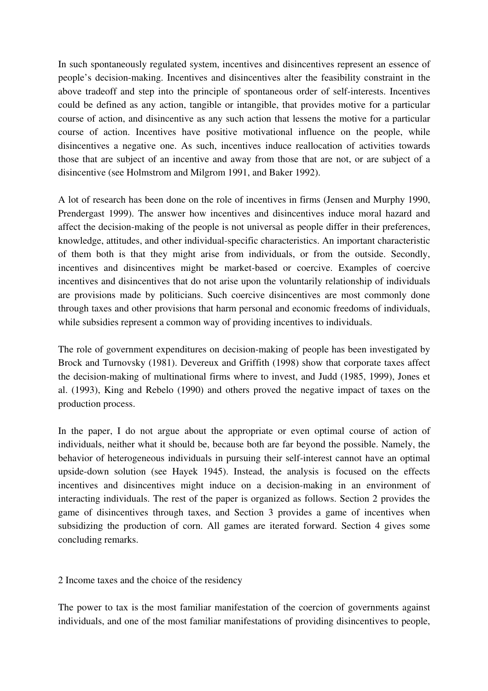In such spontaneously regulated system, incentives and disincentives represent an essence of people's decision-making. Incentives and disincentives alter the feasibility constraint in the above tradeoff and step into the principle of spontaneous order of self-interests. Incentives could be defined as any action, tangible or intangible, that provides motive for a particular course of action, and disincentive as any such action that lessens the motive for a particular course of action. Incentives have positive motivational influence on the people, while disincentives a negative one. As such, incentives induce reallocation of activities towards those that are subject of an incentive and away from those that are not, or are subject of a disincentive (see Holmstrom and Milgrom 1991, and Baker 1992).

A lot of research has been done on the role of incentives in firms (Jensen and Murphy 1990, Prendergast 1999). The answer how incentives and disincentives induce moral hazard and affect the decision-making of the people is not universal as people differ in their preferences, knowledge, attitudes, and other individual-specific characteristics. An important characteristic of them both is that they might arise from individuals, or from the outside. Secondly, incentives and disincentives might be market-based or coercive. Examples of coercive incentives and disincentives that do not arise upon the voluntarily relationship of individuals are provisions made by politicians. Such coercive disincentives are most commonly done through taxes and other provisions that harm personal and economic freedoms of individuals, while subsidies represent a common way of providing incentives to individuals.

The role of government expenditures on decision-making of people has been investigated by Brock and Turnovsky (1981). Devereux and Griffith (1998) show that corporate taxes affect the decision-making of multinational firms where to invest, and Judd (1985, 1999), Jones et al. (1993), King and Rebelo (1990) and others proved the negative impact of taxes on the production process.

In the paper, I do not argue about the appropriate or even optimal course of action of individuals, neither what it should be, because both are far beyond the possible. Namely, the behavior of heterogeneous individuals in pursuing their self-interest cannot have an optimal upside-down solution (see Hayek 1945). Instead, the analysis is focused on the effects incentives and disincentives might induce on a decision-making in an environment of interacting individuals. The rest of the paper is organized as follows. Section 2 provides the game of disincentives through taxes, and Section 3 provides a game of incentives when subsidizing the production of corn. All games are iterated forward. Section 4 gives some concluding remarks.

2 Income taxes and the choice of the residency

The power to tax is the most familiar manifestation of the coercion of governments against individuals, and one of the most familiar manifestations of providing disincentives to people,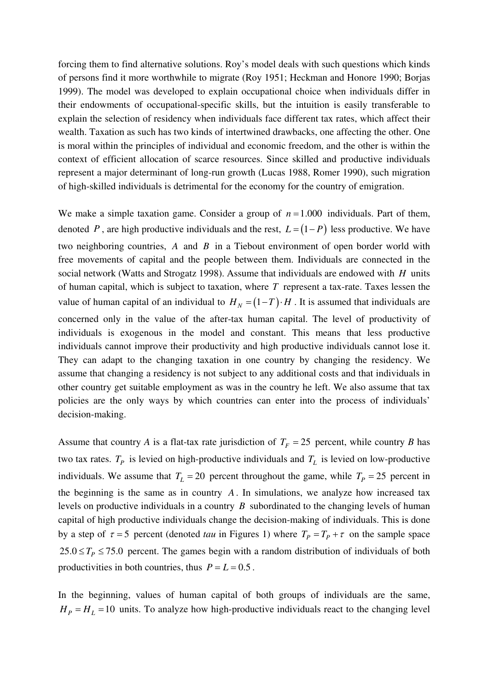forcing them to find alternative solutions. Roy's model deals with such questions which kinds of persons find it more worthwhile to migrate (Roy 1951; Heckman and Honore 1990; Borjas 1999). The model was developed to explain occupational choice when individuals differ in their endowments of occupational-specific skills, but the intuition is easily transferable to explain the selection of residency when individuals face different tax rates, which affect their wealth. Taxation as such has two kinds of intertwined drawbacks, one affecting the other. One is moral within the principles of individual and economic freedom, and the other is within the context of efficient allocation of scarce resources. Since skilled and productive individuals represent a major determinant of long-run growth (Lucas 1988, Romer 1990), such migration of high-skilled individuals is detrimental for the economy for the country of emigration.

We make a simple taxation game. Consider a group of  $n = 1.000$  individuals. Part of them, denoted *P*, are high productive individuals and the rest,  $L = (1 - P)$  less productive. We have two neighboring countries, *A* and *B* in a Tiebout environment of open border world with free movements of capital and the people between them. Individuals are connected in the social network (Watts and Strogatz 1998). Assume that individuals are endowed with *H* units of human capital, which is subject to taxation, where *T* represent a tax-rate. Taxes lessen the value of human capital of an individual to  $H_N = (1 - T) \cdot H$ . It is assumed that individuals are concerned only in the value of the after-tax human capital. The level of productivity of individuals is exogenous in the model and constant. This means that less productive individuals cannot improve their productivity and high productive individuals cannot lose it. They can adapt to the changing taxation in one country by changing the residency. We assume that changing a residency is not subject to any additional costs and that individuals in other country get suitable employment as was in the country he left. We also assume that tax policies are the only ways by which countries can enter into the process of individuals' decision-making.

Assume that country *A* is a flat-tax rate jurisdiction of  $T_F = 25$  percent, while country *B* has two tax rates.  $T_p$  is levied on high-productive individuals and  $T_L$  is levied on low-productive individuals. We assume that  $T_L = 20$  percent throughout the game, while  $T_P = 25$  percent in the beginning is the same as in country *A* . In simulations, we analyze how increased tax levels on productive individuals in a country *B* subordinated to the changing levels of human capital of high productive individuals change the decision-making of individuals. This is done by a step of  $\tau = 5$  percent (denoted *tau* in Figures 1) where  $T_p = T_p + \tau$  on the sample space  $25.0 \le T_p \le 75.0$  percent. The games begin with a random distribution of individuals of both productivities in both countries, thus  $P = L = 0.5$ .

In the beginning, values of human capital of both groups of individuals are the same,  $H<sub>p</sub> = H<sub>L</sub> = 10$  units. To analyze how high-productive individuals react to the changing level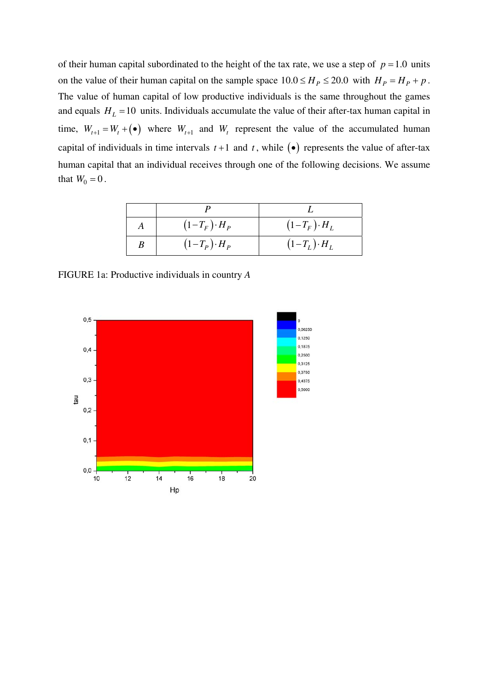of their human capital subordinated to the height of the tax rate, we use a step of  $p = 1.0$  units on the value of their human capital on the sample space  $10.0 \le H_p \le 20.0$  with  $H_p = H_p + p$ . The value of human capital of low productive individuals is the same throughout the games and equals  $H_L = 10$  units. Individuals accumulate the value of their after-tax human capital in time,  $W_{t+1} = W_t + (\bullet)$  where  $W_{t+1}$  and  $W_t$  represent the value of the accumulated human capital of individuals in time intervals  $t+1$  and  $t$ , while  $(\bullet)$  represents the value of after-tax human capital that an individual receives through one of the following decisions. We assume that  $W_0 = 0$ .

| $(1-T_F)\cdot H_P$  | $(1-T_F)\cdot H_L$ |
|---------------------|--------------------|
| $(1-T_P) \cdot H_P$ | $(1-T_L)\cdot H_L$ |

FIGURE 1a: Productive individuals in country *A*

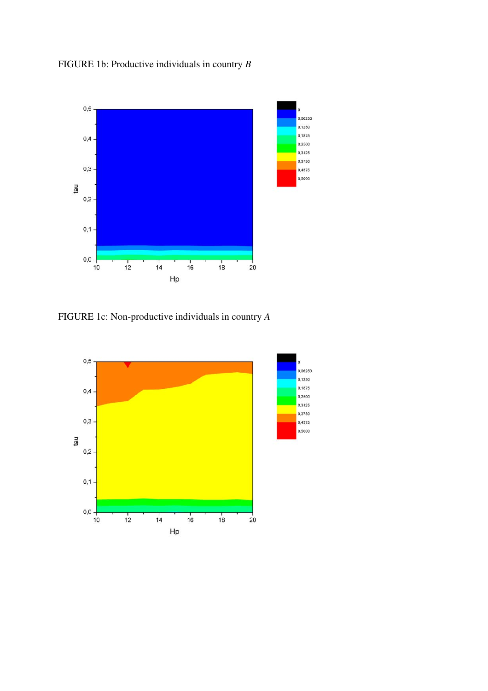# FIGURE 1b: Productive individuals in country *B*



FIGURE 1c: Non-productive individuals in country *A*

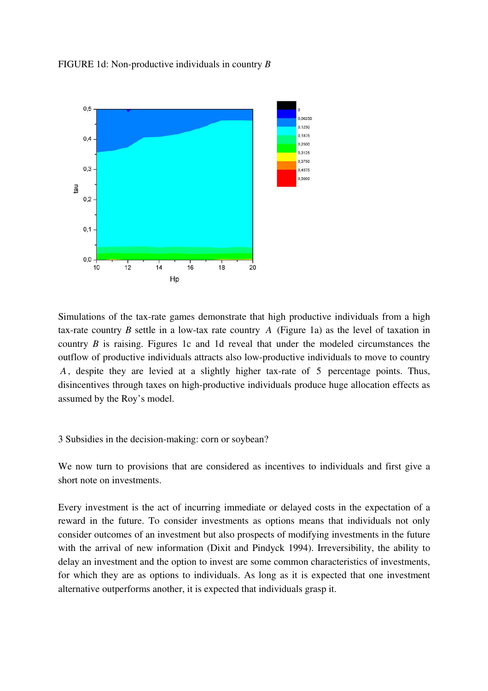



Simulations of the tax-rate games demonstrate that high productive individuals from a high tax-rate country *B* settle in a low-tax rate country *A* (Figure 1a) as the level of taxation in country *B* is raising. Figures 1c and 1d reveal that under the modeled circumstances the outflow of productive individuals attracts also low-productive individuals to move to country *A* , despite they are levied at a slightly higher tax-rate of 5 percentage points. Thus, disincentives through taxes on high-productive individuals produce huge allocation effects as assumed by the Roy's model.

### 3 Subsidies in the decision-making: corn or soybean?

We now turn to provisions that are considered as incentives to individuals and first give a short note on investments.

Every investment is the act of incurring immediate or delayed costs in the expectation of a reward in the future. To consider investments as options means that individuals not only consider outcomes of an investment but also prospects of modifying investments in the future with the arrival of new information (Dixit and Pindyck 1994). Irreversibility, the ability to delay an investment and the option to invest are some common characteristics of investments, for which they are as options to individuals. As long as it is expected that one investment alternative outperforms another, it is expected that individuals grasp it.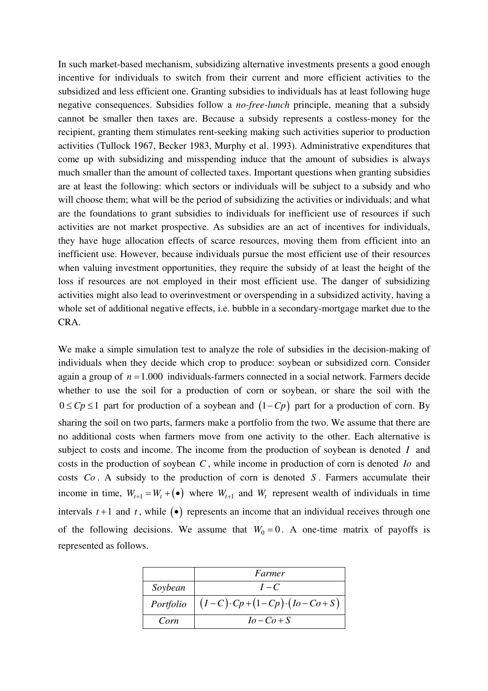In such market-based mechanism, subsidizing alternative investments presents a good enough incentive for individuals to switch from their current and more efficient activities to the subsidized and less efficient one. Granting subsidies to individuals has at least following huge negative consequences. Subsidies follow a *no-free-lunch* principle, meaning that a subsidy cannot be smaller then taxes are. Because a subsidy represents a costless-money for the recipient, granting them stimulates rent-seeking making such activities superior to production activities (Tullock 1967, Becker 1983, Murphy et al. 1993). Administrative expenditures that come up with subsidizing and misspending induce that the amount of subsidies is always much smaller than the amount of collected taxes. Important questions when granting subsidies are at least the following: which sectors or individuals will be subject to a subsidy and who will choose them; what will be the period of subsidizing the activities or individuals; and what are the foundations to grant subsidies to individuals for inefficient use of resources if such activities are not market prospective. As subsidies are an act of incentives for individuals, they have huge allocation effects of scarce resources, moving them from efficient into an inefficient use. However, because individuals pursue the most efficient use of their resources when valuing investment opportunities, they require the subsidy of at least the height of the loss if resources are not employed in their most efficient use. The danger of subsidizing activities might also lead to overinvestment or overspending in a subsidized activity, having a whole set of additional negative effects, i.e. bubble in a secondary-mortgage market due to the CRA.

We make a simple simulation test to analyze the role of subsidies in the decision-making of individuals when they decide which crop to produce: soybean or subsidized corn. Consider again a group of  $n = 1.000$  individuals-farmers connected in a social network. Farmers decide whether to use the soil for a production of corn or soybean, or share the soil with the  $0 \leq Cp \leq 1$  part for production of a soybean and  $(1-Cp)$  part for a production of corn. By sharing the soil on two parts, farmers make a portfolio from the two. We assume that there are no additional costs when farmers move from one activity to the other. Each alternative is subject to costs and income. The income from the production of soybean is denoted *I* and costs in the production of soybean *C* , while income in production of corn is denoted *Io* and costs *Co* . A subsidy to the production of corn is denoted *S* . Farmers accumulate their income in time,  $W_{t+1} = W_t + (\bullet)$  where  $W_{t+1}$  and  $W_t$  represent wealth of individuals in time intervals  $t+1$  and  $t$ , while  $(\bullet)$  represents an income that an individual receives through one of the following decisions. We assume that  $W_0 = 0$ . A one-time matrix of payoffs is represented as follows.

|           | Farmer                                |
|-----------|---------------------------------------|
| Soybean   | $I-C$                                 |
| Portfolio | $(I-C)\cdot Cp+(1-Cp)\cdot (Io-Co+S)$ |
| Corn      | $I_0 - C_0 + S$                       |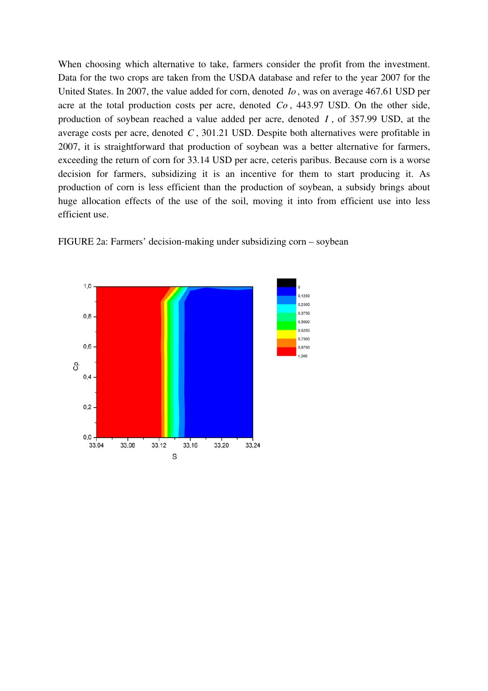When choosing which alternative to take, farmers consider the profit from the investment. Data for the two crops are taken from the USDA database and refer to the year 2007 for the United States. In 2007, the value added for corn, denoted *Io* , was on average 467.61 USD per acre at the total production costs per acre, denoted *Co* , 443.97 USD. On the other side, production of soybean reached a value added per acre, denoted *I* , of 357.99 USD, at the average costs per acre, denoted *C* , 301.21 USD. Despite both alternatives were profitable in 2007, it is straightforward that production of soybean was a better alternative for farmers, exceeding the return of corn for 33.14 USD per acre, ceteris paribus. Because corn is a worse decision for farmers, subsidizing it is an incentive for them to start producing it. As production of corn is less efficient than the production of soybean, a subsidy brings about huge allocation effects of the use of the soil, moving it into from efficient use into less efficient use.



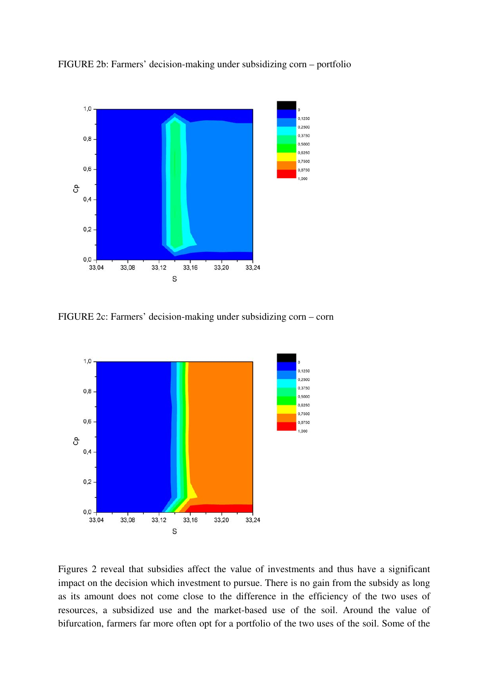

FIGURE 2b: Farmers' decision-making under subsidizing corn – portfolio

FIGURE 2c: Farmers' decision-making under subsidizing corn – corn



Figures 2 reveal that subsidies affect the value of investments and thus have a significant impact on the decision which investment to pursue. There is no gain from the subsidy as long as its amount does not come close to the difference in the efficiency of the two uses of resources, a subsidized use and the market-based use of the soil. Around the value of bifurcation, farmers far more often opt for a portfolio of the two uses of the soil. Some of the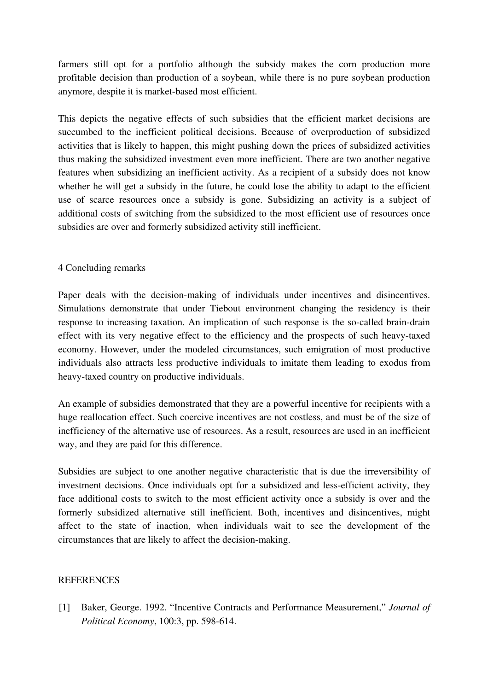farmers still opt for a portfolio although the subsidy makes the corn production more profitable decision than production of a soybean, while there is no pure soybean production anymore, despite it is market-based most efficient.

This depicts the negative effects of such subsidies that the efficient market decisions are succumbed to the inefficient political decisions. Because of overproduction of subsidized activities that is likely to happen, this might pushing down the prices of subsidized activities thus making the subsidized investment even more inefficient. There are two another negative features when subsidizing an inefficient activity. As a recipient of a subsidy does not know whether he will get a subsidy in the future, he could lose the ability to adapt to the efficient use of scarce resources once a subsidy is gone. Subsidizing an activity is a subject of additional costs of switching from the subsidized to the most efficient use of resources once subsidies are over and formerly subsidized activity still inefficient.

## 4 Concluding remarks

Paper deals with the decision-making of individuals under incentives and disincentives. Simulations demonstrate that under Tiebout environment changing the residency is their response to increasing taxation. An implication of such response is the so-called brain-drain effect with its very negative effect to the efficiency and the prospects of such heavy-taxed economy. However, under the modeled circumstances, such emigration of most productive individuals also attracts less productive individuals to imitate them leading to exodus from heavy-taxed country on productive individuals.

An example of subsidies demonstrated that they are a powerful incentive for recipients with a huge reallocation effect. Such coercive incentives are not costless, and must be of the size of inefficiency of the alternative use of resources. As a result, resources are used in an inefficient way, and they are paid for this difference.

Subsidies are subject to one another negative characteristic that is due the irreversibility of investment decisions. Once individuals opt for a subsidized and less-efficient activity, they face additional costs to switch to the most efficient activity once a subsidy is over and the formerly subsidized alternative still inefficient. Both, incentives and disincentives, might affect to the state of inaction, when individuals wait to see the development of the circumstances that are likely to affect the decision-making.

## **REFERENCES**

[1] Baker, George. 1992. "Incentive Contracts and Performance Measurement," *Journal of Political Economy*, 100:3, pp. 598-614.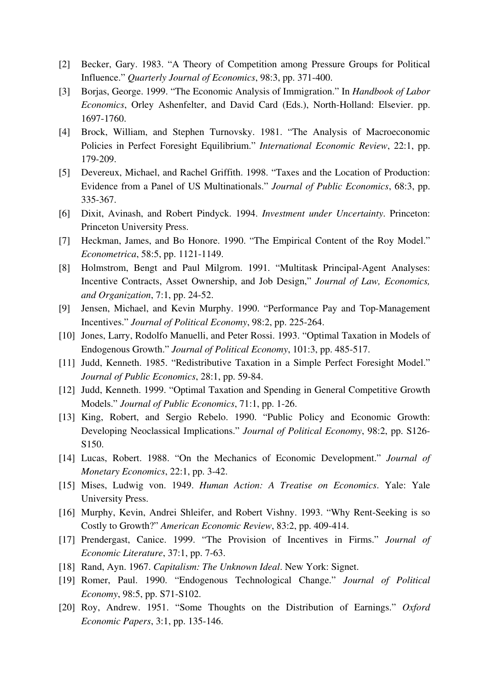- [2] Becker, Gary. 1983. "A Theory of Competition among Pressure Groups for Political Influence." *Quarterly Journal of Economics*, 98:3, pp. 371-400.
- [3] Borjas, George. 1999. "The Economic Analysis of Immigration." In *Handbook of Labor Economics*, Orley Ashenfelter, and David Card (Eds.), North-Holland: Elsevier. pp. 1697-1760.
- [4] Brock, William, and Stephen Turnovsky. 1981. "The Analysis of Macroeconomic Policies in Perfect Foresight Equilibrium." *International Economic Review*, 22:1, pp. 179-209.
- [5] Devereux, Michael, and Rachel Griffith. 1998. "Taxes and the Location of Production: Evidence from a Panel of US Multinationals." *Journal of Public Economics*, 68:3, pp. 335-367.
- [6] Dixit, Avinash, and Robert Pindyck. 1994. *Investment under Uncertainty*. Princeton: Princeton University Press.
- [7] Heckman, James, and Bo Honore. 1990. "The Empirical Content of the Roy Model." *Econometrica*, 58:5, pp. 1121-1149.
- [8] Holmstrom, Bengt and Paul Milgrom. 1991. "Multitask Principal-Agent Analyses: Incentive Contracts, Asset Ownership, and Job Design," *Journal of Law, Economics, and Organization*, 7:1, pp. 24-52.
- [9] Jensen, Michael, and Kevin Murphy. 1990. "Performance Pay and Top-Management Incentives." *Journal of Political Economy*, 98:2, pp. 225-264.
- [10] Jones, Larry, Rodolfo Manuelli, and Peter Rossi. 1993. "Optimal Taxation in Models of Endogenous Growth." *Journal of Political Economy*, 101:3, pp. 485-517.
- [11] Judd, Kenneth. 1985. "Redistributive Taxation in a Simple Perfect Foresight Model." *Journal of Public Economics*, 28:1, pp. 59-84.
- [12] Judd, Kenneth. 1999. "Optimal Taxation and Spending in General Competitive Growth Models." *Journal of Public Economics*, 71:1, pp. 1-26.
- [13] King, Robert, and Sergio Rebelo. 1990. "Public Policy and Economic Growth: Developing Neoclassical Implications." *Journal of Political Economy*, 98:2, pp. S126- S150.
- [14] Lucas, Robert. 1988. "On the Mechanics of Economic Development." *Journal of Monetary Economics*, 22:1, pp. 3-42.
- [15] Mises, Ludwig von. 1949. *Human Action: A Treatise on Economics*. Yale: Yale University Press.
- [16] Murphy, Kevin, Andrei Shleifer, and Robert Vishny. 1993. "Why Rent-Seeking is so Costly to Growth?" *American Economic Review*, 83:2, pp. 409-414.
- [17] Prendergast, Canice. 1999. "The Provision of Incentives in Firms." *Journal of Economic Literature*, 37:1, pp. 7-63.
- [18] Rand, Ayn. 1967. *Capitalism: The Unknown Ideal*. New York: Signet.
- [19] Romer, Paul. 1990. "Endogenous Technological Change." *Journal of Political Economy*, 98:5, pp. S71-S102.
- [20] Roy, Andrew. 1951. "Some Thoughts on the Distribution of Earnings." *Oxford Economic Papers*, 3:1, pp. 135-146.